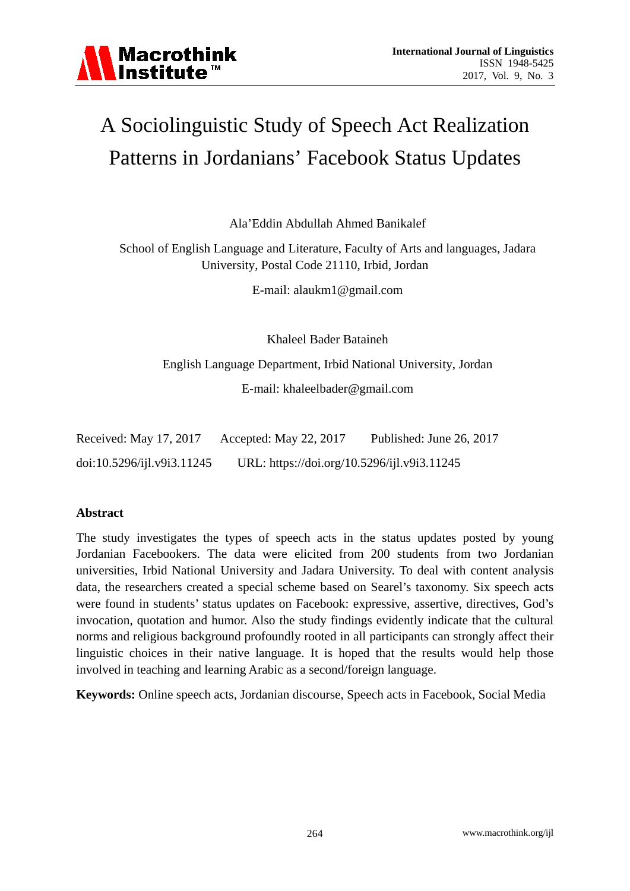

# A Sociolinguistic Study of Speech Act Realization Patterns in Jordanians' Facebook Status Updates

Ala'Eddin Abdullah Ahmed Banikalef

School of English Language and Literature, Faculty of Arts and languages, Jadara University, Postal Code 21110, Irbid, Jordan

E-mail: alaukm1@gmail.com

Khaleel Bader Bataineh

English Language Department, Irbid National University, Jordan E-mail: khaleelbader@gmail.com

| Received: May 17, 2017     | Accepted: May 22, 2017                      | Published: June 26, 2017 |
|----------------------------|---------------------------------------------|--------------------------|
| doi:10.5296/ijl.v9i3.11245 | URL: https://doi.org/10.5296/ijl.v9i3.11245 |                          |

# **Abstract**

The study investigates the types of speech acts in the status updates posted by young Jordanian Facebookers. The data were elicited from 200 students from two Jordanian universities, Irbid National University and Jadara University. To deal with content analysis data, the researchers created a special scheme based on Searel's taxonomy. Six speech acts were found in students' status updates on Facebook: expressive, assertive, directives, God's invocation, quotation and humor. Also the study findings evidently indicate that the cultural norms and religious background profoundly rooted in all participants can strongly affect their linguistic choices in their native language. It is hoped that the results would help those involved in teaching and learning Arabic as a second/foreign language.

**Keywords:** Online speech acts, Jordanian discourse, Speech acts in Facebook, Social Media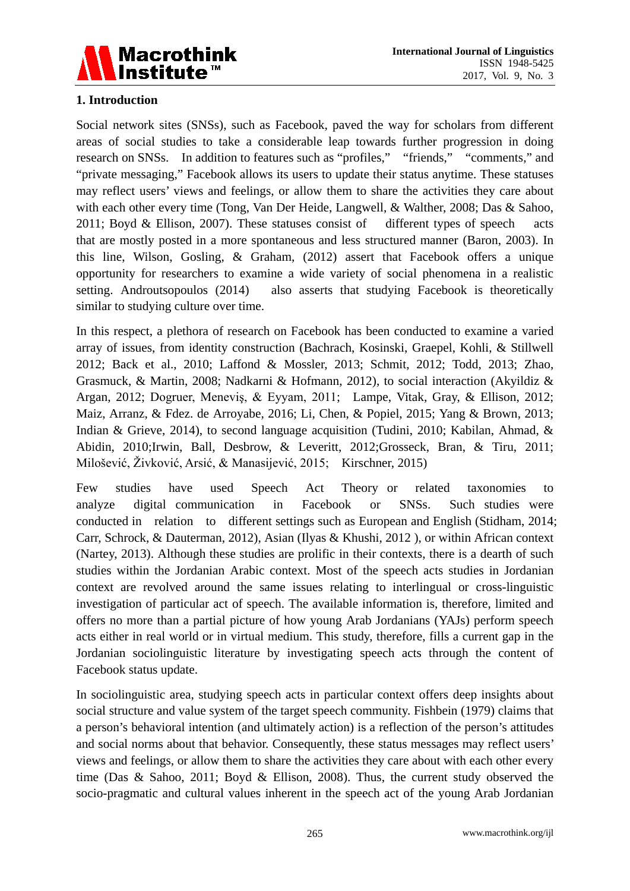

# **1. Introduction**

Social network sites (SNSs), such as Facebook, paved the way for scholars from different areas of social studies to take a considerable leap towards further progression in doing research on SNSs. In addition to features such as "profiles," "friends," "comments," and "private messaging," Facebook allows its users to update their status anytime. These statuses may reflect users' views and feelings, or allow them to share the activities they care about with each other every time (Tong, Van Der Heide, Langwell, & Walther, 2008; Das & Sahoo, 2011; Boyd & Ellison, 2007). These statuses consist of different types of speech acts that are mostly posted in a more spontaneous and less structured manner (Baron, 2003). In this line, Wilson, Gosling, & Graham, (2012) assert that Facebook offers a unique opportunity for researchers to examine a wide variety of social phenomena in a realistic setting. Androutsopoulos (2014) also asserts that studying Facebook is theoretically similar to studying culture over time.

In this respect, a plethora of research on Facebook has been conducted to examine a varied array of issues, from identity construction (Bachrach, Kosinski, Graepel, Kohli, & Stillwell 2012; Back et al., 2010; Laffond & Mossler, 2013; Schmit, 2012; Todd, 2013; Zhao, Grasmuck, & Martin, 2008; Nadkarni & Hofmann, 2012), to social interaction (Akyildiz & Argan, 2012; Dogruer, Meneviş, & Eyyam, 2011; Lampe, Vitak, Gray, & Ellison, 2012; Maiz, Arranz, & Fdez. de Arroyabe, 2016; Li, Chen, & Popiel, 2015; Yang & Brown, 2013; Indian & Grieve, 2014), to second language acquisition (Tudini, 2010; Kabilan, Ahmad, & Abidin, 2010;Irwin, Ball, Desbrow, & Leveritt, 2012;Grosseck, Bran, & Tiru, 2011; Milošević, Živković, Arsić, & Manasijević, 2015; Kirschner, 2015)

Few studies have used Speech Act Theory or related taxonomies to analyze digital communication in Facebook or SNSs. Such studies were conducted in relation to different settings such as European and English (Stidham, 2014; Carr, Schrock, & Dauterman, 2012), Asian (Ilyas & Khushi, 2012 ), or within African context (Nartey, 2013). Although these studies are prolific in their contexts, there is a dearth of such studies within the Jordanian Arabic context. Most of the speech acts studies in Jordanian context are revolved around the same issues relating to interlingual or cross-linguistic investigation of particular act of speech. The available information is, therefore, limited and offers no more than a partial picture of how young Arab Jordanians (YAJs) perform speech acts either in real world or in virtual medium. This study, therefore, fills a current gap in the Jordanian sociolinguistic literature by investigating speech acts through the content of Facebook status update.

In sociolinguistic area, studying speech acts in particular context offers deep insights about social structure and value system of the target speech community. Fishbein (1979) claims that a person's behavioral intention (and ultimately action) is a reflection of the person's attitudes and social norms about that behavior. Consequently, these status messages may reflect users' views and feelings, or allow them to share the activities they care about with each other every time (Das & Sahoo, 2011; Boyd & Ellison, 2008). Thus, the current study observed the socio-pragmatic and cultural values inherent in the speech act of the young Arab Jordanian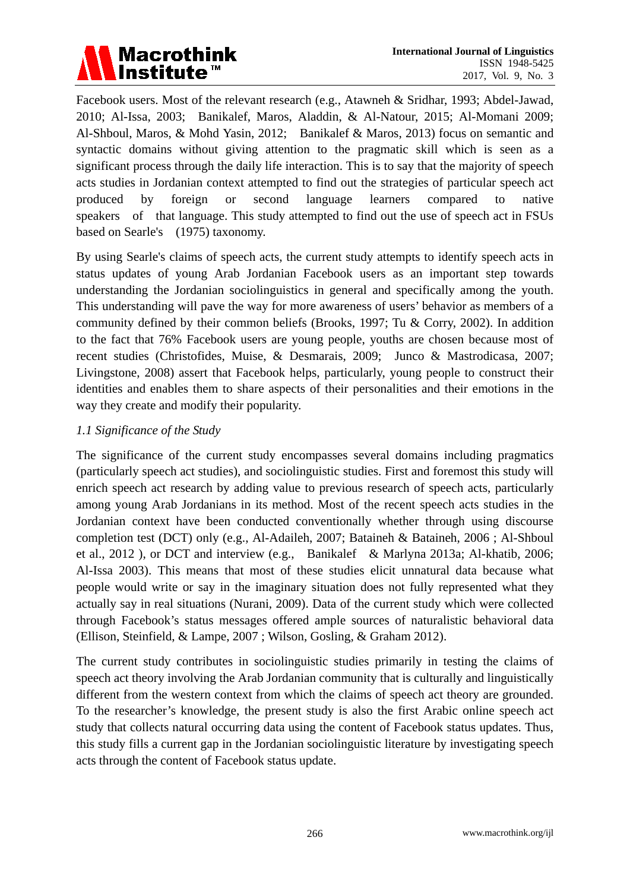

Facebook users. Most of the relevant research (e.g., Atawneh & Sridhar, 1993; Abdel-Jawad, 2010; Al-Issa, 2003; Banikalef, Maros, Aladdin, & Al-Natour, 2015; Al-Momani 2009; Al-Shboul, Maros, & Mohd Yasin, 2012; Banikalef & Maros, 2013) focus on semantic and syntactic domains without giving attention to the pragmatic skill which is seen as a significant process through the daily life interaction. This is to say that the majority of speech acts studies in Jordanian context attempted to find out the strategies of particular speech act produced by foreign or second language learners compared to native speakers of that language. This study attempted to find out the use of speech act in FSUs based on Searle's (1975) taxonomy.

By using Searle's claims of speech acts, the current study attempts to identify speech acts in status updates of young Arab Jordanian Facebook users as an important step towards understanding the Jordanian sociolinguistics in general and specifically among the youth. This understanding will pave the way for more awareness of users' behavior as members of a community defined by their common beliefs (Brooks, 1997; Tu & Corry, 2002). In addition to the fact that 76% Facebook users are young people, youths are chosen because most of recent studies (Christofides, Muise, & Desmarais, 2009; Junco & Mastrodicasa, 2007; Livingstone, 2008) assert that Facebook helps, particularly, young people to construct their identities and enables them to share aspects of their personalities and their emotions in the way they create and modify their popularity.

# *1.1 Significance of the Study*

The significance of the current study encompasses several domains including pragmatics (particularly speech act studies), and sociolinguistic studies. First and foremost this study will enrich speech act research by adding value to previous research of speech acts, particularly among young Arab Jordanians in its method. Most of the recent speech acts studies in the Jordanian context have been conducted conventionally whether through using discourse completion test (DCT) only (e.g., Al-Adaileh, 2007; Bataineh & Bataineh, 2006 ; Al-Shboul et al., 2012 ), or DCT and interview (e.g., Banikalef & Marlyna 2013a; Al-khatib, 2006; Al-Issa 2003). This means that most of these studies elicit unnatural data because what people would write or say in the imaginary situation does not fully represented what they actually say in real situations (Nurani, 2009). Data of the current study which were collected through Facebook's status messages offered ample sources of naturalistic behavioral data (Ellison, Steinfield, & Lampe, 2007 ; Wilson, Gosling, & Graham 2012).

The current study contributes in sociolinguistic studies primarily in testing the claims of speech act theory involving the Arab Jordanian community that is culturally and linguistically different from the western context from which the claims of speech act theory are grounded. To the researcher's knowledge, the present study is also the first Arabic online speech act study that collects natural occurring data using the content of Facebook status updates. Thus, this study fills a current gap in the Jordanian sociolinguistic literature by investigating speech acts through the content of Facebook status update.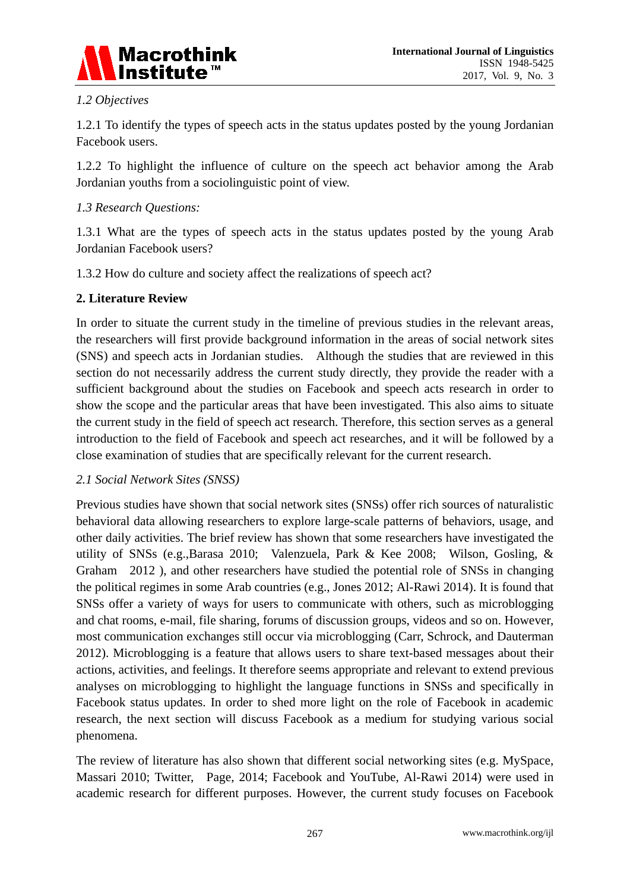

# *1.2 Objectives*

1.2.1 To identify the types of speech acts in the status updates posted by the young Jordanian Facebook users.

1.2.2 To highlight the influence of culture on the speech act behavior among the Arab Jordanian youths from a sociolinguistic point of view.

# *1.3 Research Questions:*

1.3.1 What are the types of speech acts in the status updates posted by the young Arab Jordanian Facebook users?

1.3.2 How do culture and society affect the realizations of speech act?

## **2. Literature Review**

In order to situate the current study in the timeline of previous studies in the relevant areas, the researchers will first provide background information in the areas of social network sites (SNS) and speech acts in Jordanian studies. Although the studies that are reviewed in this section do not necessarily address the current study directly, they provide the reader with a sufficient background about the studies on Facebook and speech acts research in order to show the scope and the particular areas that have been investigated. This also aims to situate the current study in the field of speech act research. Therefore, this section serves as a general introduction to the field of Facebook and speech act researches, and it will be followed by a close examination of studies that are specifically relevant for the current research.

#### *2.1 Social Network Sites (SNSS)*

Previous studies have shown that social network sites (SNSs) offer rich sources of naturalistic behavioral data allowing researchers to explore large-scale patterns of behaviors, usage, and other daily activities. The brief review has shown that some researchers have investigated the utility of SNSs (e.g.,Barasa 2010; Valenzuela, Park & Kee 2008; Wilson, Gosling, & Graham 2012 ), and other researchers have studied the potential role of SNSs in changing the political regimes in some Arab countries (e.g., Jones 2012; Al-Rawi 2014). It is found that SNSs offer a variety of ways for users to communicate with others, such as microblogging and chat rooms, e-mail, file sharing, forums of discussion groups, videos and so on. However, most communication exchanges still occur via microblogging (Carr, Schrock, and Dauterman 2012). Microblogging is a feature that allows users to share text-based messages about their actions, activities, and feelings. It therefore seems appropriate and relevant to extend previous analyses on microblogging to highlight the language functions in SNSs and specifically in Facebook status updates. In order to shed more light on the role of Facebook in academic research, the next section will discuss Facebook as a medium for studying various social phenomena.

The review of literature has also shown that different social networking sites (e.g. MySpace, Massari 2010; Twitter, Page, 2014; Facebook and YouTube, Al-Rawi 2014) were used in academic research for different purposes. However, the current study focuses on Facebook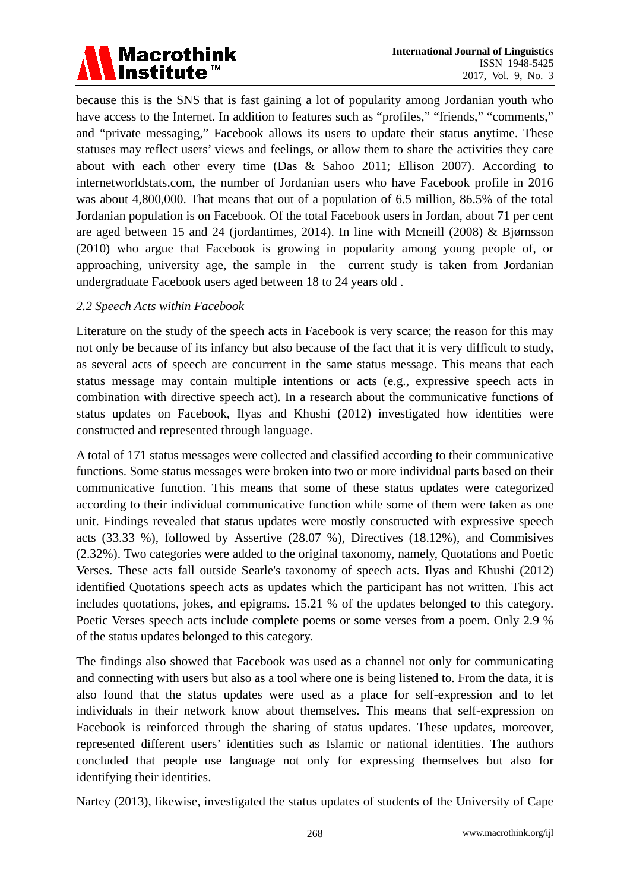

because this is the SNS that is fast gaining a lot of popularity among Jordanian youth who have access to the Internet. In addition to features such as "profiles," "friends," "comments," and "private messaging," Facebook allows its users to update their status anytime. These statuses may reflect users' views and feelings, or allow them to share the activities they care about with each other every time (Das & Sahoo 2011; Ellison 2007). According to internetworldstats.com, the number of Jordanian users who have Facebook profile in 2016 was about 4,800,000. That means that out of a population of 6.5 million, 86.5% of the total Jordanian population is on Facebook. Of the total Facebook users in Jordan, about 71 per cent are aged between 15 and 24 (jordantimes, 2014). In line with Mcneill (2008) & Bjørnsson (2010) who argue that Facebook is growing in popularity among young people of, or approaching, university age, the sample in the current study is taken from Jordanian undergraduate Facebook users aged between 18 to 24 years old .

## *2.2 Speech Acts within Facebook*

Literature on the study of the speech acts in Facebook is very scarce; the reason for this may not only be because of its infancy but also because of the fact that it is very difficult to study, as several acts of speech are concurrent in the same status message. This means that each status message may contain multiple intentions or acts (e.g., expressive speech acts in combination with directive speech act). In a research about the communicative functions of status updates on Facebook, Ilyas and Khushi (2012) investigated how identities were constructed and represented through language.

A total of 171 status messages were collected and classified according to their communicative functions. Some status messages were broken into two or more individual parts based on their communicative function. This means that some of these status updates were categorized according to their individual communicative function while some of them were taken as one unit. Findings revealed that status updates were mostly constructed with expressive speech acts (33.33 %), followed by Assertive (28.07 %), Directives (18.12%), and Commisives (2.32%). Two categories were added to the original taxonomy, namely, Quotations and Poetic Verses. These acts fall outside Searle's taxonomy of speech acts. Ilyas and Khushi (2012) identified Quotations speech acts as updates which the participant has not written. This act includes quotations, jokes, and epigrams. 15.21 % of the updates belonged to this category. Poetic Verses speech acts include complete poems or some verses from a poem. Only 2.9 % of the status updates belonged to this category.

The findings also showed that Facebook was used as a channel not only for communicating and connecting with users but also as a tool where one is being listened to. From the data, it is also found that the status updates were used as a place for self-expression and to let individuals in their network know about themselves. This means that self-expression on Facebook is reinforced through the sharing of status updates. These updates, moreover, represented different users' identities such as Islamic or national identities. The authors concluded that people use language not only for expressing themselves but also for identifying their identities.

Nartey (2013), likewise, investigated the status updates of students of the University of Cape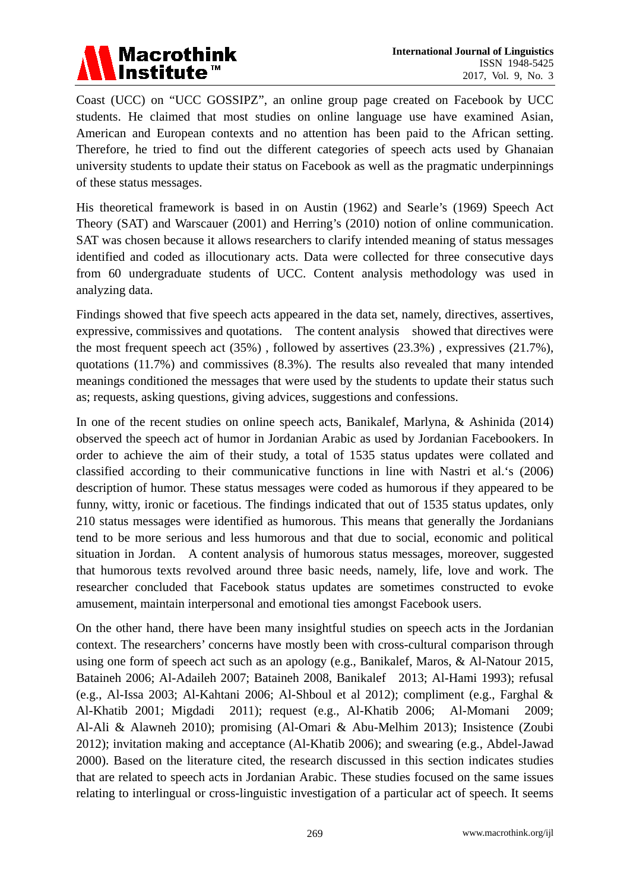

Coast (UCC) on "UCC GOSSIPZ", an online group page created on Facebook by UCC students. He claimed that most studies on online language use have examined Asian, American and European contexts and no attention has been paid to the African setting. Therefore, he tried to find out the different categories of speech acts used by Ghanaian university students to update their status on Facebook as well as the pragmatic underpinnings of these status messages.

His theoretical framework is based in on Austin (1962) and Searle's (1969) Speech Act Theory (SAT) and Warscauer (2001) and Herring's (2010) notion of online communication. SAT was chosen because it allows researchers to clarify intended meaning of status messages identified and coded as illocutionary acts. Data were collected for three consecutive days from 60 undergraduate students of UCC. Content analysis methodology was used in analyzing data.

Findings showed that five speech acts appeared in the data set, namely, directives, assertives, expressive, commissives and quotations. The content analysis showed that directives were the most frequent speech act (35%) , followed by assertives (23.3%) , expressives (21.7%), quotations (11.7%) and commissives (8.3%). The results also revealed that many intended meanings conditioned the messages that were used by the students to update their status such as; requests, asking questions, giving advices, suggestions and confessions.

In one of the recent studies on online speech acts, Banikalef, Marlyna, & Ashinida (2014) observed the speech act of humor in Jordanian Arabic as used by Jordanian Facebookers. In order to achieve the aim of their study, a total of 1535 status updates were collated and classified according to their communicative functions in line with Nastri et al.'s (2006) description of humor. These status messages were coded as humorous if they appeared to be funny, witty, ironic or facetious. The findings indicated that out of 1535 status updates, only 210 status messages were identified as humorous. This means that generally the Jordanians tend to be more serious and less humorous and that due to social, economic and political situation in Jordan. A content analysis of humorous status messages, moreover, suggested that humorous texts revolved around three basic needs, namely, life, love and work. The researcher concluded that Facebook status updates are sometimes constructed to evoke amusement, maintain interpersonal and emotional ties amongst Facebook users.

On the other hand, there have been many insightful studies on speech acts in the Jordanian context. The researchers' concerns have mostly been with cross-cultural comparison through using one form of speech act such as an apology (e.g., Banikalef, Maros, & Al-Natour 2015, Bataineh 2006; Al-Adaileh 2007; Bataineh 2008, Banikalef 2013; Al-Hami 1993); refusal (e.g., Al-Issa 2003; Al-Kahtani 2006; Al-Shboul et al 2012); compliment (e.g., Farghal & Al-Khatib 2001; Migdadi 2011); request (e.g., Al-Khatib 2006; Al-Momani 2009; Al-Ali & Alawneh 2010); promising (Al-Omari & Abu-Melhim 2013); Insistence (Zoubi 2012); invitation making and acceptance (Al-Khatib 2006); and swearing (e.g., Abdel-Jawad 2000). Based on the literature cited, the research discussed in this section indicates studies that are related to speech acts in Jordanian Arabic. These studies focused on the same issues relating to interlingual or cross-linguistic investigation of a particular act of speech. It seems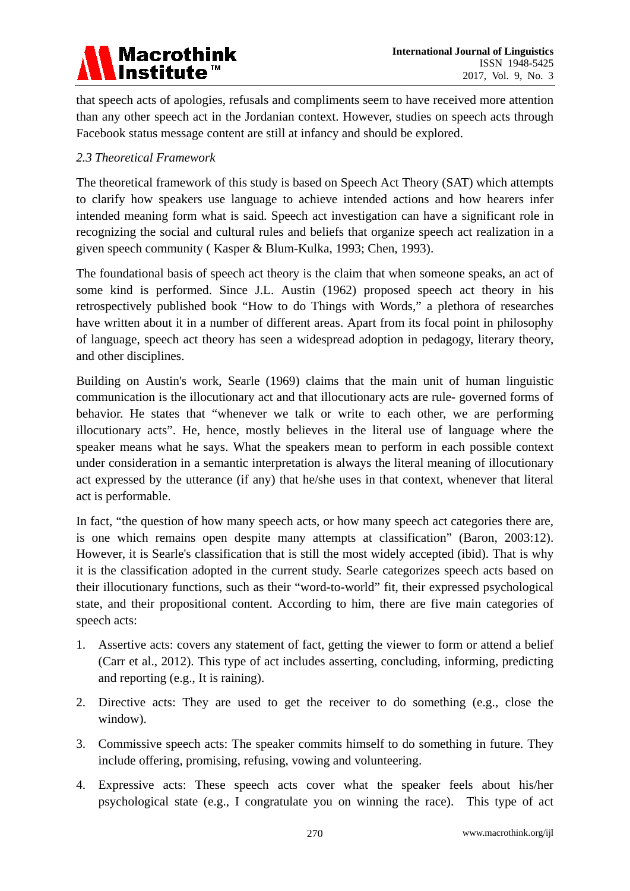

that speech acts of apologies, refusals and compliments seem to have received more attention than any other speech act in the Jordanian context. However, studies on speech acts through Facebook status message content are still at infancy and should be explored.

## *2.3 Theoretical Framework*

The theoretical framework of this study is based on Speech Act Theory (SAT) which attempts to clarify how speakers use language to achieve intended actions and how hearers infer intended meaning form what is said. Speech act investigation can have a significant role in recognizing the social and cultural rules and beliefs that organize speech act realization in a given speech community ( Kasper & Blum-Kulka, 1993; Chen, 1993).

The foundational basis of speech act theory is the claim that when someone speaks, an act of some kind is performed. Since J.L. Austin (1962) proposed speech act theory in his retrospectively published book "How to do Things with Words," a plethora of researches have written about it in a number of different areas. Apart from its focal point in philosophy of language, speech act theory has seen a widespread adoption in pedagogy, literary theory, and other disciplines.

Building on Austin's work, Searle (1969) claims that the main unit of human linguistic communication is the illocutionary act and that illocutionary acts are rule- governed forms of behavior. He states that "whenever we talk or write to each other, we are performing illocutionary acts". He, hence, mostly believes in the literal use of language where the speaker means what he says. What the speakers mean to perform in each possible context under consideration in a semantic interpretation is always the literal meaning of illocutionary act expressed by the utterance (if any) that he/she uses in that context, whenever that literal act is performable.

In fact, "the question of how many speech acts, or how many speech act categories there are, is one which remains open despite many attempts at classification" (Baron, 2003:12). However, it is Searle's classification that is still the most widely accepted (ibid). That is why it is the classification adopted in the current study. Searle categorizes speech acts based on their illocutionary functions, such as their "word-to-world" fit, their expressed psychological state, and their propositional content. According to him, there are five main categories of speech acts:

- 1. Assertive acts: covers any statement of fact, getting the viewer to form or attend a belief (Carr et al., 2012). This type of act includes asserting, concluding, informing, predicting and reporting (e.g., It is raining).
- 2. Directive acts: They are used to get the receiver to do something (e.g., close the window).
- 3. Commissive speech acts: The speaker commits himself to do something in future. They include offering, promising, refusing, vowing and volunteering.
- 4. Expressive acts: These speech acts cover what the speaker feels about his/her psychological state (e.g., I congratulate you on winning the race). This type of act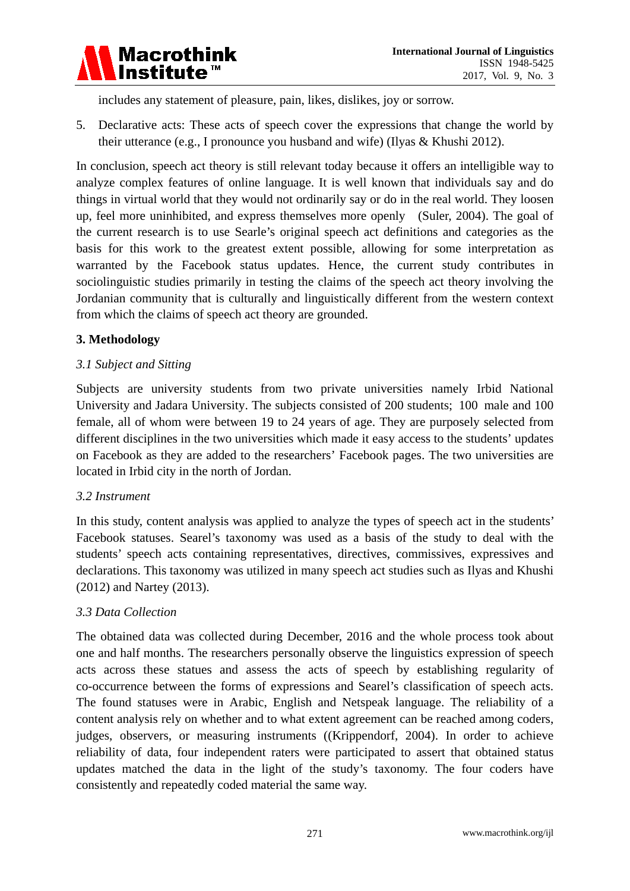

includes any statement of pleasure, pain, likes, dislikes, joy or sorrow.

5. Declarative acts: These acts of speech cover the expressions that change the world by their utterance (e.g., I pronounce you husband and wife) (Ilyas & Khushi 2012).

In conclusion, speech act theory is still relevant today because it offers an intelligible way to analyze complex features of online language. It is well known that individuals say and do things in virtual world that they would not ordinarily say or do in the real world. They loosen up, feel more uninhibited, and express themselves more openly (Suler, 2004). The goal of the current research is to use Searle's original speech act definitions and categories as the basis for this work to the greatest extent possible, allowing for some interpretation as warranted by the Facebook status updates. Hence, the current study contributes in sociolinguistic studies primarily in testing the claims of the speech act theory involving the Jordanian community that is culturally and linguistically different from the western context from which the claims of speech act theory are grounded.

## **3. Methodology**

## *3.1 Subject and Sitting*

Subjects are university students from two private universities namely Irbid National University and Jadara University. The subjects consisted of 200 students; 100 male and 100 female, all of whom were between 19 to 24 years of age. They are purposely selected from different disciplines in the two universities which made it easy access to the students' updates on Facebook as they are added to the researchers' Facebook pages. The two universities are located in Irbid city in the north of Jordan.

#### *3.2 Instrument*

In this study, content analysis was applied to analyze the types of speech act in the students' Facebook statuses. Searel's taxonomy was used as a basis of the study to deal with the students' speech acts containing representatives, directives, commissives, expressives and declarations. This taxonomy was utilized in many speech act studies such as Ilyas and Khushi (2012) and Nartey (2013).

# *3.3 Data Collection*

The obtained data was collected during December, 2016 and the whole process took about one and half months. The researchers personally observe the linguistics expression of speech acts across these statues and assess the acts of speech by establishing regularity of co-occurrence between the forms of expressions and Searel's classification of speech acts. The found statuses were in Arabic, English and Netspeak language. The reliability of a content analysis rely on whether and to what extent agreement can be reached among coders, judges, observers, or measuring instruments ((Krippendorf, 2004). In order to achieve reliability of data, four independent raters were participated to assert that obtained status updates matched the data in the light of the study's taxonomy. The four coders have consistently and repeatedly coded material the same way.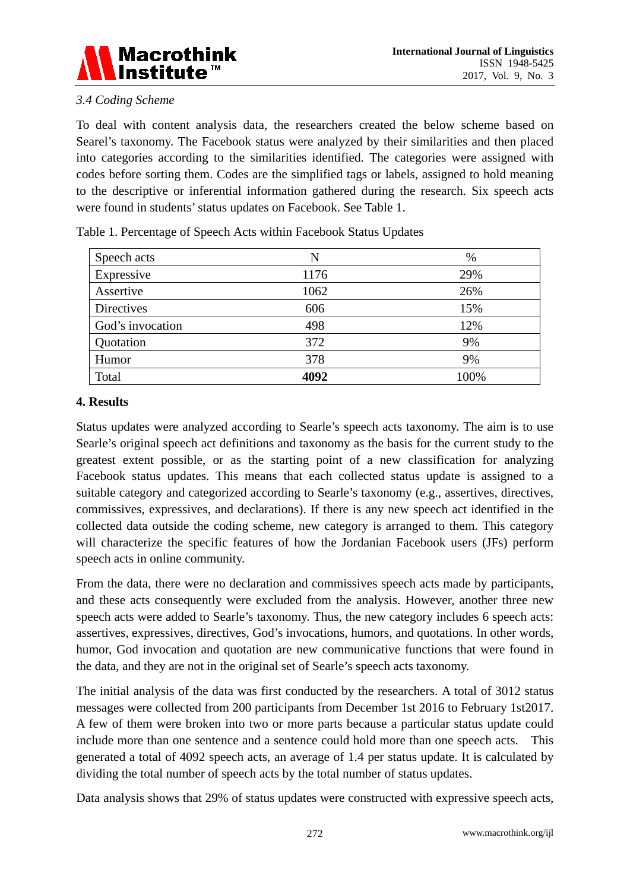

# *3.4 Coding Scheme*

To deal with content analysis data, the researchers created the below scheme based on Searel's taxonomy. The Facebook status were analyzed by their similarities and then placed into categories according to the similarities identified. The categories were assigned with codes before sorting them. Codes are the simplified tags or labels, assigned to hold meaning to the descriptive or inferential information gathered during the research. Six speech acts were found in students' status updates on Facebook. See Table 1.

| Speech acts      | N    | $\%$ |
|------------------|------|------|
| Expressive       | 1176 | 29%  |
| Assertive        | 1062 | 26%  |
| Directives       | 606  | 15%  |
| God's invocation | 498  | 12%  |
| Quotation        | 372  | 9%   |
| Humor            | 378  | 9%   |
| Total            | 4092 | 100% |

Table 1. Percentage of Speech Acts within Facebook Status Updates

# **4. Results**

Status updates were analyzed according to Searle's speech acts taxonomy. The aim is to use Searle's original speech act definitions and taxonomy as the basis for the current study to the greatest extent possible, or as the starting point of a new classification for analyzing Facebook status updates. This means that each collected status update is assigned to a suitable category and categorized according to Searle's taxonomy (e.g., assertives, directives, commissives, expressives, and declarations). If there is any new speech act identified in the collected data outside the coding scheme, new category is arranged to them. This category will characterize the specific features of how the Jordanian Facebook users (JFs) perform speech acts in online community.

From the data, there were no declaration and commissives speech acts made by participants, and these acts consequently were excluded from the analysis. However, another three new speech acts were added to Searle's taxonomy. Thus, the new category includes 6 speech acts: assertives, expressives, directives, God's invocations, humors, and quotations. In other words, humor, God invocation and quotation are new communicative functions that were found in the data, and they are not in the original set of Searle's speech acts taxonomy.

The initial analysis of the data was first conducted by the researchers. A total of 3012 status messages were collected from 200 participants from December 1st 2016 to February 1st2017. A few of them were broken into two or more parts because a particular status update could include more than one sentence and a sentence could hold more than one speech acts. This generated a total of 4092 speech acts, an average of 1.4 per status update. It is calculated by dividing the total number of speech acts by the total number of status updates.

Data analysis shows that 29% of status updates were constructed with expressive speech acts,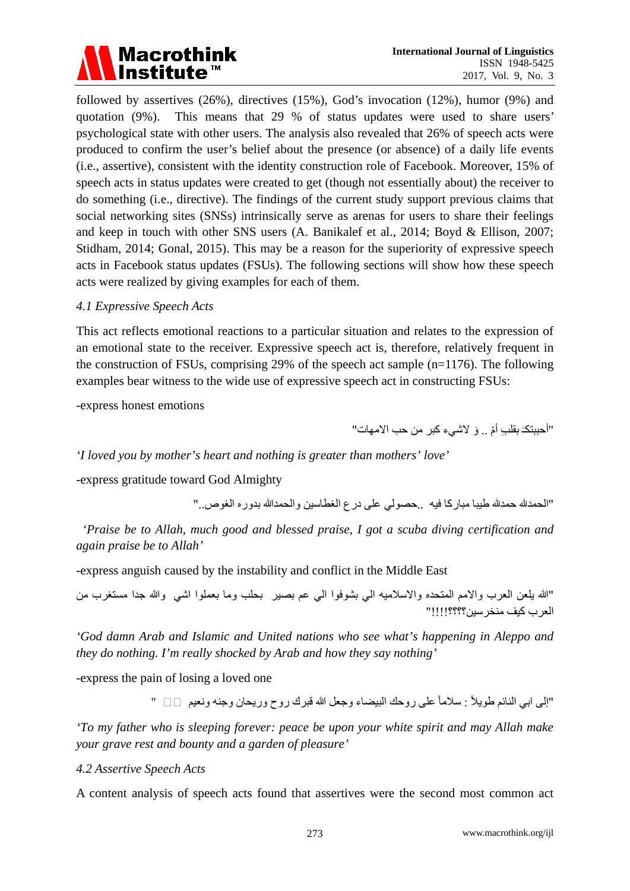

followed by assertives (26%), directives (15%), God's invocation (12%), humor (9%) and quotation (9%). This means that 29 % of status updates were used to share users' psychological state with other users. The analysis also revealed that 26% of speech acts were produced to confirm the user's belief about the presence (or absence) of a daily life events (i.e., assertive), consistent with the identity construction role of Facebook. Moreover, 15% of speech acts in status updates were created to get (though not essentially about) the receiver to do something (i.e., directive). The findings of the current study support previous claims that social networking sites (SNSs) intrinsically serve as arenas for users to share their feelings and keep in touch with other SNS users (A. Banikalef et al., 2014; Boyd & Ellison, 2007; Stidham, 2014; Gonal, 2015). This may be a reason for the superiority of expressive speech acts in Facebook status updates (FSUs). The following sections will show how these speech acts were realized by giving examples for each of them.

#### *4.1 Expressive Speech Acts*

This act reflects emotional reactions to a particular situation and relates to the expression of an emotional state to the receiver. Expressive speech act is, therefore, relatively frequent in the construction of FSUs, comprising 29% of the speech act sample  $(n=1176)$ . The following examples bear witness to the wide use of expressive speech act in constructing FSUs:

-express honest emotions

"أحببتكـَ بقلبِ أمْ .. وَ لاشيء كبر من حب الامهات"

*'I loved you by mother's heart and nothing is greater than mothers' love'*

-express gratitude toward God Almighty

"الحمد� حمد� طیبا مباركا فیھ ..حصولي على درع الغطاسین والحمدالله بدوره الغوص.."

*'Praise be to Allah, much good and blessed praise, I got a scuba diving certification and again praise be to Allah'*

-express anguish caused by the instability and conflict in the Middle East

"الله یلعن العرب والامم المتحده والاسلامیھ الي بشوفوا الي عم بصیر بحلب وما بعملوا اشي والله جدا مستغرب من العرب كیف منخرسین؟؟؟؟!!!!"

*'God damn Arab and Islamic and United nations who see what's happening in Aleppo and they do nothing. I'm really shocked by Arab and how they say nothing'*

-express the pain of losing a loved one

"إلى ابي النائم طويلاً : سلاماً على روحك البيضاء وجعل الله قبرك روح وريحان وجنه ونعيم □ "

*'To my father who is sleeping forever: peace be upon your white spirit and may Allah make your grave rest and bounty and a garden of pleasure'*

*4.2 Assertive Speech Acts*

A content analysis of speech acts found that assertives were the second most common act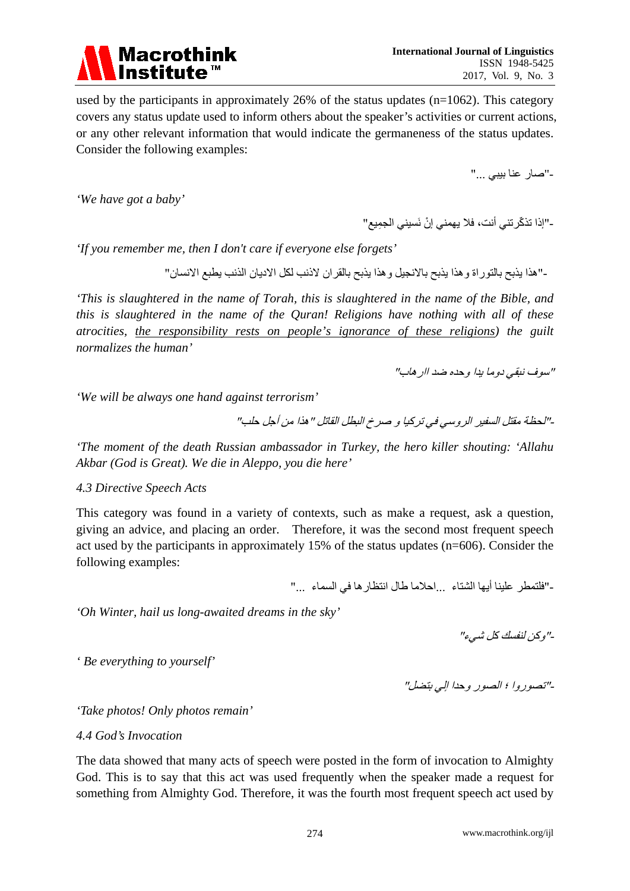

used by the participants in approximately 26% of the status updates (n=1062). This category covers any status update used to inform others about the speaker's activities or current actions, or any other relevant information that would indicate the germaneness of the status updates. Consider the following examples:

-"صار عنا بیبي ..."

*'We have got a baby'*

-"إذا تذكّر تني أنت، فلا یهمني إنْ نَسيني الجمِيع"

*'If you remember me, then I don't care if everyone else forgets'*

-"ھذا یذبح بالتوراة وھذا یذبح بالانجیل وھذا یذبح بالقران لاذنب لكل الادیان الذنب یطبع الانسان"

*'This is slaughtered in the name of Torah, this is slaughtered in the name of the Bible, and this is slaughtered in the name of the Quran! Religions have nothing with all of these atrocities, the responsibility rests on people's ignorance of these religions) the guilt normalizes the human'*

"سوف نبقي دوما یدا وحده ضد اارھاب"

*'We will be always one hand against terrorism'* 

-"لحظة مقتل السفیر الروسي في تركیا و صرخ البطل القاتل "ھذا من أجل حلب"

*'The moment of the death Russian ambassador in Turkey, the hero killer shouting: 'Allahu Akbar (God is Great). We die in Aleppo, you die here'*

#### *4.3 Directive Speech Acts*

This category was found in a variety of contexts, such as make a request, ask a question, giving an advice, and placing an order. Therefore, it was the second most frequent speech act used by the participants in approximately 15% of the status updates (n=606). Consider the following examples:

-"فلتمطر علینا أیھا الشتاء ...احلاما طال انتظارھا في السماء ..."

*'Oh Winter, hail us long-awaited dreams in the sky'*

-"وكن لنفسك كل شيء"

*' Be everything to yourself'*

-"تصوروا ؛ الصور وحدا إلي بتضل"

*'Take photos! Only photos remain'*

*4.4 God's Invocation*

The data showed that many acts of speech were posted in the form of invocation to Almighty God. This is to say that this act was used frequently when the speaker made a request for something from Almighty God. Therefore, it was the fourth most frequent speech act used by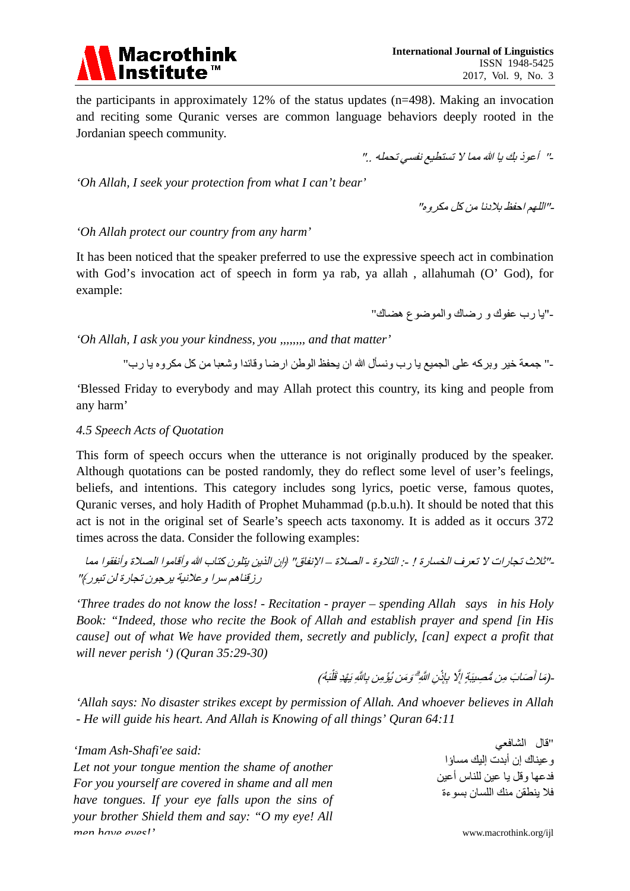

the participants in approximately 12% of the status updates (n=498). Making an invocation and reciting some Quranic verses are common language behaviors deeply rooted in the Jordanian speech community.

*-*" أعوذ بك یا الله مما لا تستطیع نفسي تحملھ .."

*'Oh Allah, I seek your protection from what I can't bear'*

-"اللھم احفظ بلادنا من كل مكروه"

## *'Oh Allah protect our country from any harm'*

It has been noticed that the speaker preferred to use the expressive speech act in combination with God's invocation act of speech in form ya rab, ya allah, allahumah (O' God), for example:

-"یا رب عفوك و رضاك والموضوع ھضاك"

*'Oh Allah, I ask you your kindness, you ,,,,,,,, and that matter'*

-" جمعة خیر وبركھ على الجمیع یا رب ونسأل الله ان یحفظ الوطن ارضا وقائدا وشعبا من كل مكروه یا رب"

*'*Blessed Friday to everybody and may Allah protect this country, its king and people from any harm'

## *4.5 Speech Acts of Quotation*

This form of speech occurs when the utterance is not originally produced by the speaker. Although quotations can be posted randomly, they do reflect some level of user's feelings, beliefs, and intentions. This category includes song lyrics, poetic verse, famous quotes, Quranic verses, and holy Hadith of Prophet Muhammad (p.b.u.h). It should be noted that this act is not in the original set of Searle's speech acts taxonomy. It is added as it occurs 372 times across the data. Consider the following examples:

-"ثلاث تجارات لا تعرف الخسارة ! :- التلاوة - الصلاة – الإنفاق" ﴿إن الذین یتلون كتاب الله وأقاموا الصلاة وأنفقوا مما رزقناھم سرا وعلانیة یرجون تجارة لن تبور﴾"

*'Three trades do not know the loss! - Recitation - prayer – spending Allah says in his Holy Book: "Indeed, those who recite the Book of Allah and establish prayer and spend [in His cause] out of what We have provided them, secretly and publicly, [can] expect a profit that will never perish ') (Quran 35:29-30)*

> ِ (مَا أَصَابَ مِن مُّصِيبَةٍ إِلَّا بِإِنْنِ اللَّهِ ۗ وَمَن يُؤْمِن بِاللَّهِ يَهْدِ قَلْبَهُ) نِ اللَّهِ ۗ وَمَن بُؤْمِن بِاللَّهِ يَهْدِ قَلَّا

*'Allah says: No disaster strikes except by permission of Allah. And whoever believes in Allah - He will guide his heart. And Allah is Knowing of all things' Quran 64:11* 

*'Imam Ash-Shafi'ee said: Let not your tongue mention the shame of another For you yourself are covered in shame and all men have tongues. If your eye falls upon the sins of your brother Shield them and say: "O my eye! All men have eyes!'*

"قال الشافعي وعیناك إن أبدت إلیك مساؤا فدعھا وقل یا عین للناس أعین فلا ینطقن منك اللسان بسوءة

www.macrothink.org/ijl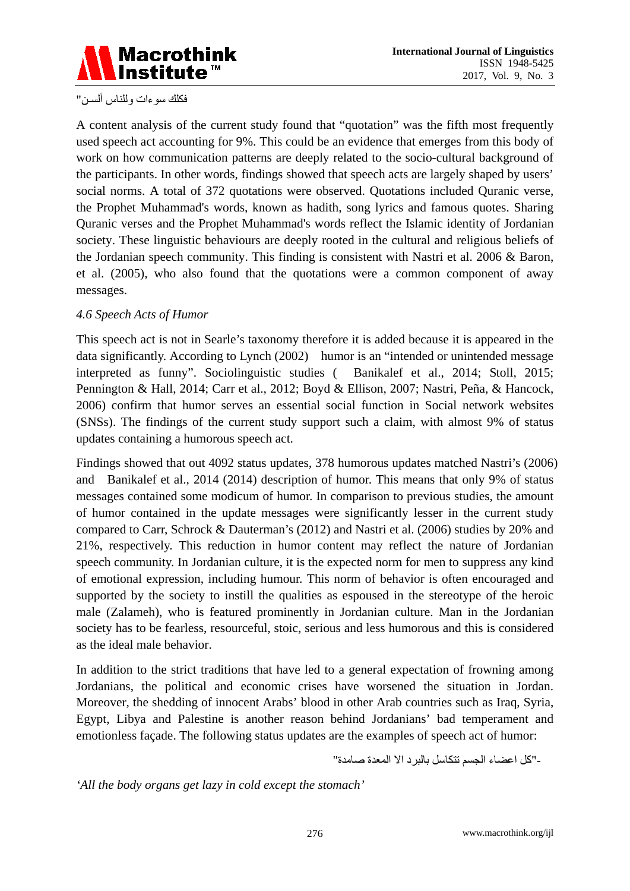

فكلك سوءات وللناس ألسـن"

A content analysis of the current study found that "quotation" was the fifth most frequently used speech act accounting for 9%. This could be an evidence that emerges from this body of work on how communication patterns are deeply related to the socio-cultural background of the participants. In other words, findings showed that speech acts are largely shaped by users' social norms. A total of 372 quotations were observed. Quotations included Quranic verse, the Prophet Muhammad's words, known as hadith, song lyrics and famous quotes. Sharing Quranic verses and the Prophet Muhammad's words reflect the Islamic identity of Jordanian society. These linguistic behaviours are deeply rooted in the cultural and religious beliefs of the Jordanian speech community. This finding is consistent with Nastri et al. 2006 & Baron, et al. (2005), who also found that the quotations were a common component of away messages.

#### *4.6 Speech Acts of Humor*

This speech act is not in Searle's taxonomy therefore it is added because it is appeared in the data significantly. According to Lynch (2002) humor is an "intended or unintended message interpreted as funny". Sociolinguistic studies ( Banikalef et al., 2014; Stoll, 2015; Pennington & Hall, 2014; Carr et al., 2012; Boyd & Ellison, 2007; Nastri, Peña, & Hancock, 2006) confirm that humor serves an essential social function in Social network websites (SNSs). The findings of the current study support such a claim, with almost 9% of status updates containing a humorous speech act.

Findings showed that out 4092 status updates, 378 humorous updates matched Nastri's (2006) and Banikalef et al., 2014 (2014) description of humor. This means that only 9% of status messages contained some modicum of humor. In comparison to previous studies, the amount of humor contained in the update messages were significantly lesser in the current study compared to Carr, Schrock & Dauterman's (2012) and Nastri et al. (2006) studies by 20% and 21%, respectively. This reduction in humor content may reflect the nature of Jordanian speech community. In Jordanian culture, it is the expected norm for men to suppress any kind of emotional expression, including humour. This norm of behavior is often encouraged and supported by the society to instill the qualities as espoused in the stereotype of the heroic male (Zalameh), who is featured prominently in Jordanian culture. Man in the Jordanian society has to be fearless, resourceful, stoic, serious and less humorous and this is considered as the ideal male behavior.

In addition to the strict traditions that have led to a general expectation of frowning among Jordanians, the political and economic crises have worsened the situation in Jordan. Moreover, the shedding of innocent Arabs' blood in other Arab countries such as Iraq, Syria, Egypt, Libya and Palestine is another reason behind Jordanians' bad temperament and emotionless façade. The following status updates are the examples of speech act of humor:

-"كل اعضاء الجسم تتكاسل بالبرد الا المعدة صامدة"

*'All the body organs get lazy in cold except the stomach'*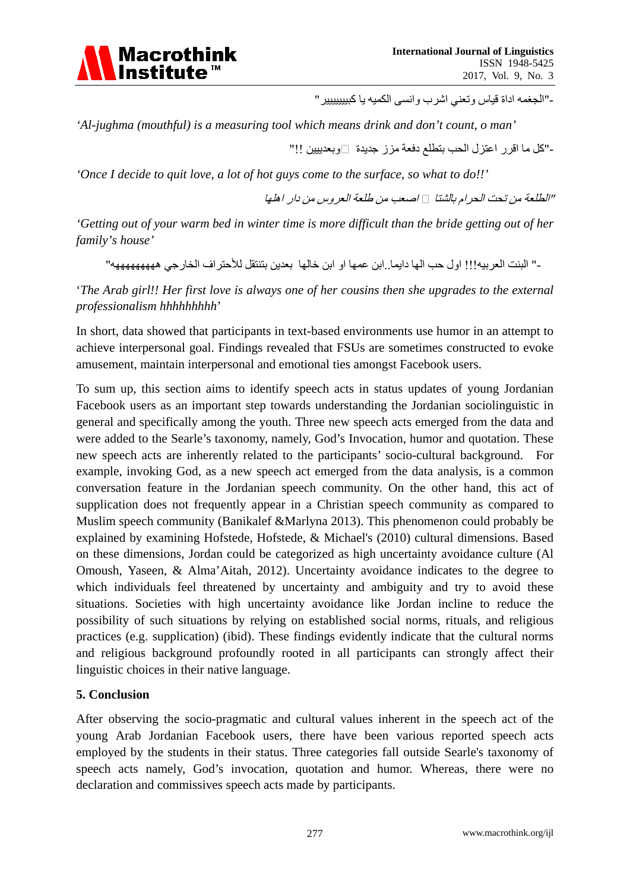

-"الجغمھ اداة قیاس وتعني اشرب وانسى الكمیھ یا كبیییییییر"

*'Al-jughma (mouthful) is a measuring tool which means drink and don't count, o man'*

-"كل ما اقرر اعتزل الحب بتطلع دفعة مزز جدیدة �وبعدییین !!"

*'Once I decide to quit love, a lot of hot guys come to the surface, so what to do!!'*

"الطلعة من تحت الحرام بالشتا *�* اصعب من طلعة العروس من دار اھلھا

*'Getting out of your warm bed in winter time is more difficult than the bride getting out of her family's house'*

-" البنت العربیھ!!! اول حب الھا دایما..ابن عمھا او ابن خالھا بعدین بتنتقل للأحتراف الخارجي ھھھھھھھھھھ"

'*The Arab girl!! Her first love is always one of her cousins then she upgrades to the external professionalism hhhhhhhhh*'

In short, data showed that participants in text-based environments use humor in an attempt to achieve interpersonal goal. Findings revealed that FSUs are sometimes constructed to evoke amusement, maintain interpersonal and emotional ties amongst Facebook users.

To sum up, this section aims to identify speech acts in status updates of young Jordanian Facebook users as an important step towards understanding the Jordanian sociolinguistic in general and specifically among the youth. Three new speech acts emerged from the data and were added to the Searle's taxonomy, namely, God's Invocation, humor and quotation. These new speech acts are inherently related to the participants' socio-cultural background. For example, invoking God, as a new speech act emerged from the data analysis, is a common conversation feature in the Jordanian speech community. On the other hand, this act of supplication does not frequently appear in a Christian speech community as compared to Muslim speech community (Banikalef &Marlyna 2013). This phenomenon could probably be explained by examining Hofstede, Hofstede, & Michael's (2010) cultural dimensions. Based on these dimensions, Jordan could be categorized as high uncertainty avoidance culture (Al Omoush, Yaseen, & Alma'Aitah, 2012). Uncertainty avoidance indicates to the degree to which individuals feel threatened by uncertainty and ambiguity and try to avoid these situations. Societies with high uncertainty avoidance like Jordan incline to reduce the possibility of such situations by relying on established social norms, rituals, and religious practices (e.g. supplication) (ibid). These findings evidently indicate that the cultural norms and religious background profoundly rooted in all participants can strongly affect their linguistic choices in their native language.

#### **5. Conclusion**

After observing the socio-pragmatic and cultural values inherent in the speech act of the young Arab Jordanian Facebook users, there have been various reported speech acts employed by the students in their status. Three categories fall outside Searle's taxonomy of speech acts namely, God's invocation, quotation and humor. Whereas, there were no declaration and commissives speech acts made by participants.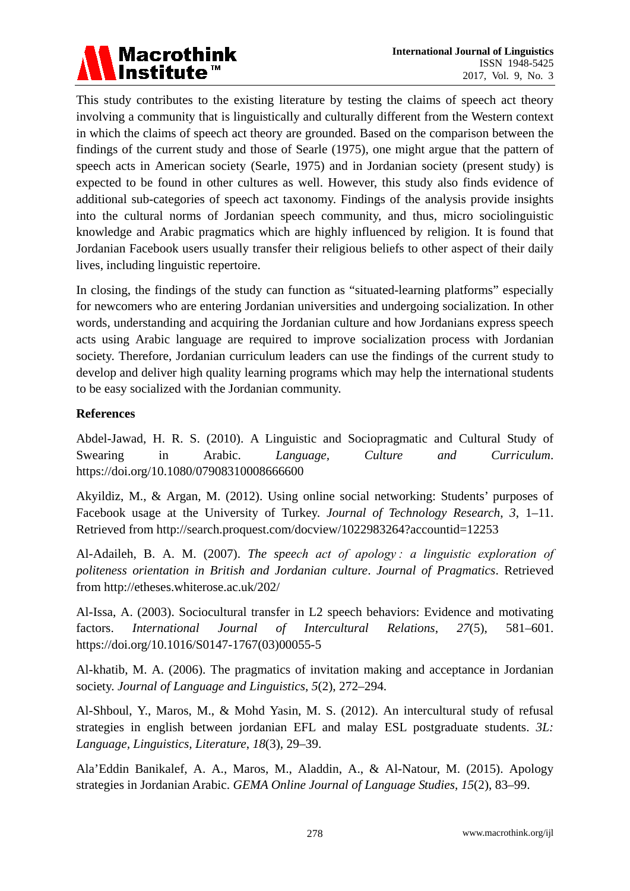

This study contributes to the existing literature by testing the claims of speech act theory involving a community that is linguistically and culturally different from the Western context in which the claims of speech act theory are grounded. Based on the comparison between the findings of the current study and those of Searle (1975), one might argue that the pattern of speech acts in American society (Searle, 1975) and in Jordanian society (present study) is expected to be found in other cultures as well. However, this study also finds evidence of additional sub-categories of speech act taxonomy. Findings of the analysis provide insights into the cultural norms of Jordanian speech community, and thus, micro sociolinguistic knowledge and Arabic pragmatics which are highly influenced by religion. It is found that Jordanian Facebook users usually transfer their religious beliefs to other aspect of their daily lives, including linguistic repertoire.

In closing, the findings of the study can function as "situated-learning platforms" especially for newcomers who are entering Jordanian universities and undergoing socialization. In other words, understanding and acquiring the Jordanian culture and how Jordanians express speech acts using Arabic language are required to improve socialization process with Jordanian society. Therefore, Jordanian curriculum leaders can use the findings of the current study to develop and deliver high quality learning programs which may help the international students to be easy socialized with the Jordanian community.

## **References**

Abdel-Jawad, H. R. S. (2010). A Linguistic and Sociopragmatic and Cultural Study of Swearing in Arabic. *Language, Culture and Curriculum*. https://doi.org/10.1080/07908310008666600

Akyildiz, M., & Argan, M. (2012). Using online social networking: Students' purposes of Facebook usage at the University of Turkey. *Journal of Technology Research*, *3*, 1–11. Retrieved from http://search.proquest.com/docview/1022983264?accountid=12253

Al-Adaileh, B. A. M. (2007). *The speech act of apology : a linguistic exploration of politeness orientation in British and Jordanian culture*. *Journal of Pragmatics*. Retrieved from http://etheses.whiterose.ac.uk/202/

Al-Issa, A. (2003). Sociocultural transfer in L2 speech behaviors: Evidence and motivating factors. *International Journal of Intercultural Relations*, *27*(5), 581–601. https://doi.org/10.1016/S0147-1767(03)00055-5

Al-khatib, M. A. (2006). The pragmatics of invitation making and acceptance in Jordanian society. *Journal of Language and Linguistics*, *5*(2), 272–294.

Al-Shboul, Y., Maros, M., & Mohd Yasin, M. S. (2012). An intercultural study of refusal strategies in english between jordanian EFL and malay ESL postgraduate students. *3L: Language, Linguistics, Literature*, *18*(3), 29–39.

Ala'Eddin Banikalef, A. A., Maros, M., Aladdin, A., & Al-Natour, M. (2015). Apology strategies in Jordanian Arabic. *GEMA Online Journal of Language Studies*, *15*(2), 83–99.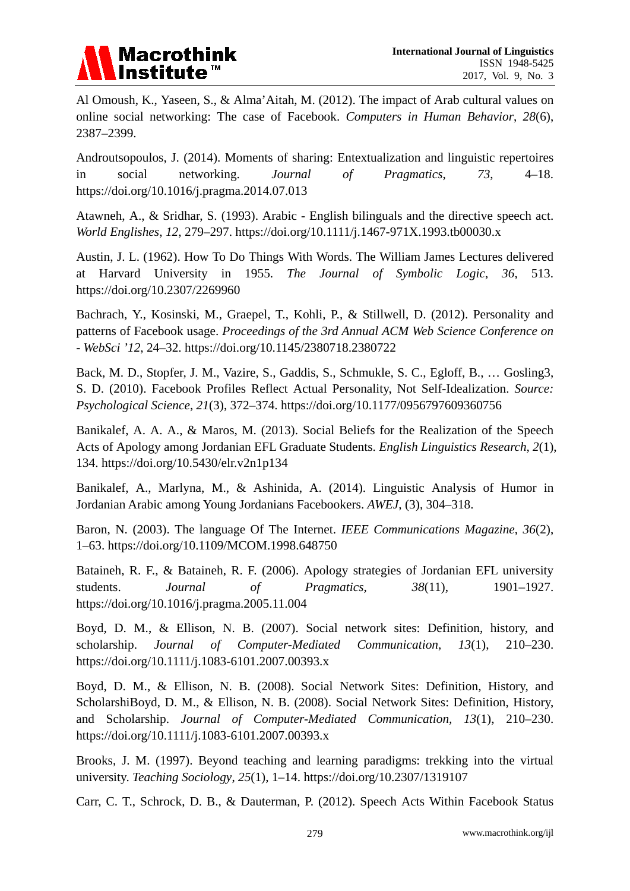

Al Omoush, K., Yaseen, S., & Alma'Aitah, M. (2012). The impact of Arab cultural values on online social networking: The case of Facebook. *Computers in Human Behavior*, *28*(6), 2387–2399.

Androutsopoulos, J. (2014). Moments of sharing: Entextualization and linguistic repertoires in social networking. *Journal of Pragmatics*, *73*, 4–18. https://doi.org/10.1016/j.pragma.2014.07.013

Atawneh, A., & Sridhar, S. (1993). Arabic - English bilinguals and the directive speech act. *World Englishes*, *12*, 279–297. https://doi.org/10.1111/j.1467-971X.1993.tb00030.x

Austin, J. L. (1962). How To Do Things With Words. The William James Lectures delivered at Harvard University in 1955. *The Journal of Symbolic Logic*, *36*, 513. https://doi.org/10.2307/2269960

Bachrach, Y., Kosinski, M., Graepel, T., Kohli, P., & Stillwell, D. (2012). Personality and patterns of Facebook usage. *Proceedings of the 3rd Annual ACM Web Science Conference on - WebSci '12*, 24–32. https://doi.org/10.1145/2380718.2380722

Back, M. D., Stopfer, J. M., Vazire, S., Gaddis, S., Schmukle, S. C., Egloff, B., … Gosling3, S. D. (2010). Facebook Profiles Reflect Actual Personality, Not Self-Idealization. *Source: Psychological Science*, *21*(3), 372–374. https://doi.org/10.1177/0956797609360756

Banikalef, A. A. A., & Maros, M. (2013). Social Beliefs for the Realization of the Speech Acts of Apology among Jordanian EFL Graduate Students. *English Linguistics Research*, *2*(1), 134. https://doi.org/10.5430/elr.v2n1p134

Banikalef, A., Marlyna, M., & Ashinida, A. (2014). Linguistic Analysis of Humor in Jordanian Arabic among Young Jordanians Facebookers. *AWEJ*, (3), 304–318.

Baron, N. (2003). The language Of The Internet. *IEEE Communications Magazine*, *36*(2), 1–63. https://doi.org/10.1109/MCOM.1998.648750

Bataineh, R. F., & Bataineh, R. F. (2006). Apology strategies of Jordanian EFL university students. *Journal of Pragmatics*, *38*(11), 1901–1927. https://doi.org/10.1016/j.pragma.2005.11.004

Boyd, D. M., & Ellison, N. B. (2007). Social network sites: Definition, history, and scholarship. *Journal of Computer-Mediated Communication*, *13*(1), 210–230. https://doi.org/10.1111/j.1083-6101.2007.00393.x

Boyd, D. M., & Ellison, N. B. (2008). Social Network Sites: Definition, History, and ScholarshiBoyd, D. M., & Ellison, N. B. (2008). Social Network Sites: Definition, History, and Scholarship. *Journal of Computer-Mediated Communication, 13*(1), 210–230. https://doi.org/10.1111/j.1083-6101.2007.00393.x

Brooks, J. M. (1997). Beyond teaching and learning paradigms: trekking into the virtual university. *Teaching Sociology*, *25*(1), 1–14. https://doi.org/10.2307/1319107

Carr, C. T., Schrock, D. B., & Dauterman, P. (2012). Speech Acts Within Facebook Status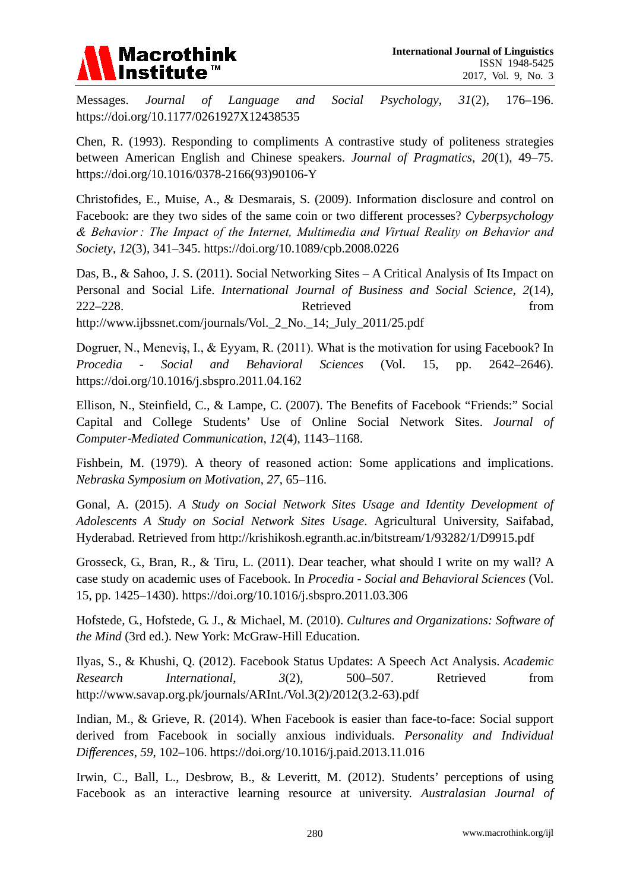

Messages. *Journal of Language and Social Psychology*, *31*(2), 176–196. https://doi.org/10.1177/0261927X12438535

Chen, R. (1993). Responding to compliments A contrastive study of politeness strategies between American English and Chinese speakers. *Journal of Pragmatics*, *20*(1), 49–75. https://doi.org/10.1016/0378-2166(93)90106-Y

Christofides, E., Muise, A., & Desmarais, S. (2009). Information disclosure and control on Facebook: are they two sides of the same coin or two different processes? *Cyberpsychology & Behavior : The Impact of the Internet, Multimedia and Virtual Reality on Behavior and Society*, *12*(3), 341–345. https://doi.org/10.1089/cpb.2008.0226

Das, B., & Sahoo, J. S. (2011). Social Networking Sites – A Critical Analysis of Its Impact on Personal and Social Life. *International Journal of Business and Social Science*, *2*(14), 222–228. Retrieved from http://www.ijbssnet.com/journals/Vol.\_2\_No.\_14;\_July\_2011/25.pdf

Dogruer, N., Meneviş, I., & Eyyam, R. (2011). What is the motivation for using Facebook? In *Procedia - Social and Behavioral Sciences* (Vol. 15, pp. 2642–2646). https://doi.org/10.1016/j.sbspro.2011.04.162

Ellison, N., Steinfield, C., & Lampe, C. (2007). The Benefits of Facebook "Friends:" Social Capital and College Students' Use of Online Social Network Sites. *Journal of Computer*‐*Mediated Communication*, *12*(4), 1143–1168.

Fishbein, M. (1979). A theory of reasoned action: Some applications and implications. *Nebraska Symposium on Motivation*, *27*, 65–116.

Gonal, A. (2015). *A Study on Social Network Sites Usage and Identity Development of Adolescents A Study on Social Network Sites Usage*. Agricultural University, Saifabad, Hyderabad. Retrieved from http://krishikosh.egranth.ac.in/bitstream/1/93282/1/D9915.pdf

Grosseck, G., Bran, R., & Tiru, L. (2011). Dear teacher, what should I write on my wall? A case study on academic uses of Facebook. In *Procedia - Social and Behavioral Sciences* (Vol. 15, pp. 1425–1430). https://doi.org/10.1016/j.sbspro.2011.03.306

Hofstede, G., Hofstede, G. J., & Michael, M. (2010). *Cultures and Organizations: Software of the Mind* (3rd ed.). New York: McGraw-Hill Education.

Ilyas, S., & Khushi, Q. (2012). Facebook Status Updates: A Speech Act Analysis. *Academic Research International*, *3*(2), 500–507. Retrieved from http://www.savap.org.pk/journals/ARInt./Vol.3(2)/2012(3.2-63).pdf

Indian, M., & Grieve, R. (2014). When Facebook is easier than face-to-face: Social support derived from Facebook in socially anxious individuals. *Personality and Individual Differences*, *59*, 102–106. https://doi.org/10.1016/j.paid.2013.11.016

Irwin, C., Ball, L., Desbrow, B., & Leveritt, M. (2012). Students' perceptions of using Facebook as an interactive learning resource at university. *Australasian Journal of*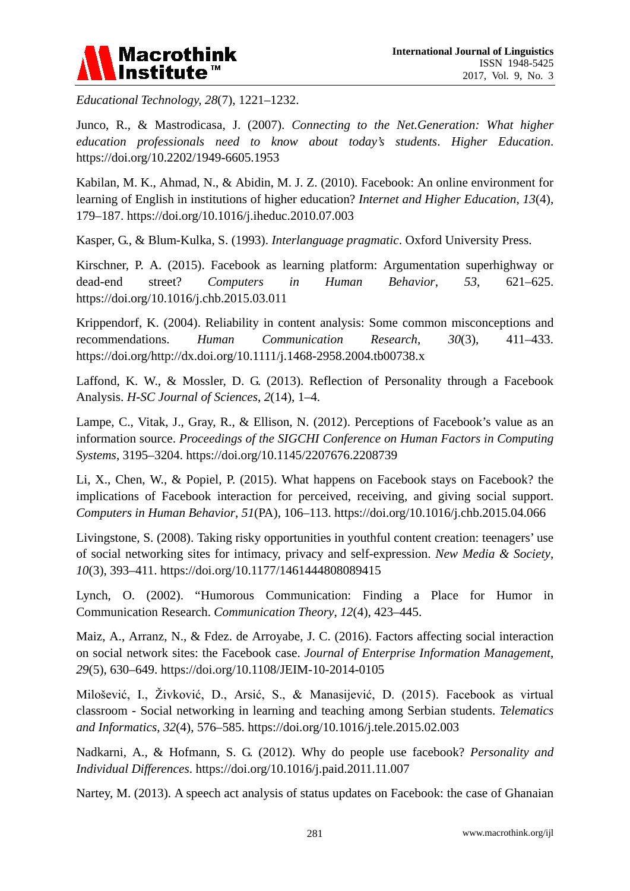

*Educational Technology, 28*(7), 1221–1232.

Junco, R., & Mastrodicasa, J. (2007). *Connecting to the Net.Generation: What higher education professionals need to know about today's students*. *Higher Education*. https://doi.org/10.2202/1949-6605.1953

Kabilan, M. K., Ahmad, N., & Abidin, M. J. Z. (2010). Facebook: An online environment for learning of English in institutions of higher education? *Internet and Higher Education*, *13*(4), 179–187. https://doi.org/10.1016/j.iheduc.2010.07.003

Kasper, G., & Blum-Kulka, S. (1993). *Interlanguage pragmatic*. Oxford University Press.

Kirschner, P. A. (2015). Facebook as learning platform: Argumentation superhighway or dead-end street? *Computers in Human Behavior*, *53*, 621–625. https://doi.org/10.1016/j.chb.2015.03.011

Krippendorf, K. (2004). Reliability in content analysis: Some common misconceptions and recommendations. *Human Communication Research*, *30*(3), 411–433. https://doi.org/http://dx.doi.org/10.1111/j.1468-2958.2004.tb00738.x

Laffond, K. W., & Mossler, D. G. (2013). Reflection of Personality through a Facebook Analysis. *H-SC Journal of Sciences*, *2*(14), 1–4.

Lampe, C., Vitak, J., Gray, R., & Ellison, N. (2012). Perceptions of Facebook's value as an information source. *Proceedings of the SIGCHI Conference on Human Factors in Computing Systems*, 3195–3204. https://doi.org/10.1145/2207676.2208739

Li, X., Chen, W., & Popiel, P. (2015). What happens on Facebook stays on Facebook? the implications of Facebook interaction for perceived, receiving, and giving social support. *Computers in Human Behavior*, *51*(PA), 106–113. https://doi.org/10.1016/j.chb.2015.04.066

Livingstone, S. (2008). Taking risky opportunities in youthful content creation: teenagers' use of social networking sites for intimacy, privacy and self-expression. *New Media & Society*, *10*(3), 393–411. https://doi.org/10.1177/1461444808089415

Lynch, O. (2002). "Humorous Communication: Finding a Place for Humor in Communication Research. *Communication Theory*, *12*(4), 423–445.

Maiz, A., Arranz, N., & Fdez. de Arroyabe, J. C. (2016). Factors affecting social interaction on social network sites: the Facebook case. *Journal of Enterprise Information Management*, *29*(5), 630–649. https://doi.org/10.1108/JEIM-10-2014-0105

Milošević, I., Živković, D., Arsić, S., & Manasijević, D. (2015). Facebook as virtual classroom - Social networking in learning and teaching among Serbian students. *Telematics and Informatics*, *32*(4), 576–585. https://doi.org/10.1016/j.tele.2015.02.003

Nadkarni, A., & Hofmann, S. G. (2012). Why do people use facebook? *Personality and Individual Differences*. https://doi.org/10.1016/j.paid.2011.11.007

Nartey, M. (2013). A speech act analysis of status updates on Facebook: the case of Ghanaian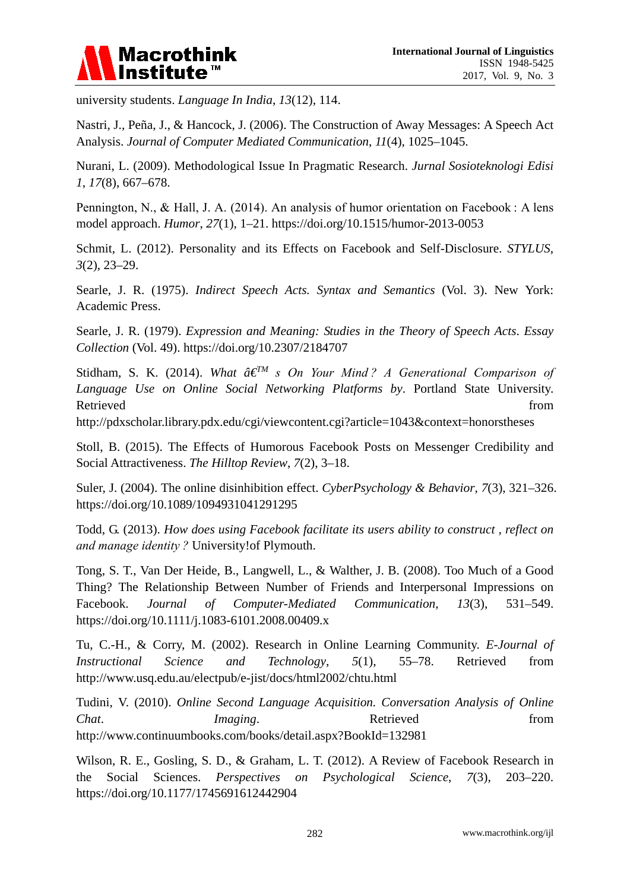

university students. *Language In India*, *13*(12), 114.

Nastri, J., Peña, J., & Hancock, J. (2006). The Construction of Away Messages: A Speech Act Analysis. *Journal of Computer Mediated Communication*, *11*(4), 1025–1045.

Nurani, L. (2009). Methodological Issue In Pragmatic Research. *Jurnal Sosioteknologi Edisi 1*, *17*(8), 667–678.

Pennington, N., & Hall, J. A. (2014). An analysis of humor orientation on Facebook : A lens model approach. *Humor*, *27*(1), 1–21. https://doi.org/10.1515/humor-2013-0053

Schmit, L. (2012). Personality and its Effects on Facebook and Self-Disclosure. *STYLUS*, *3*(2), 23–29.

Searle, J. R. (1975). *Indirect Speech Acts. Syntax and Semantics* (Vol. 3). New York: Academic Press.

Searle, J. R. (1979). *Expression and Meaning: Studies in the Theory of Speech Acts*. *Essay Collection* (Vol. 49). https://doi.org/10.2307/2184707

Stidham, S. K. (2014). *What â€TM s On Your Mind ? A Generational Comparison of Language Use on Online Social Networking Platforms by*. Portland State University. Retrieved from the state of the state of the state of the state of the state of the state of the state of the state of the state of the state of the state of the state of the state of the state of the state of the state of

http://pdxscholar.library.pdx.edu/cgi/viewcontent.cgi?article=1043&context=honorstheses

Stoll, B. (2015). The Effects of Humorous Facebook Posts on Messenger Credibility and Social Attractiveness. *The Hilltop Review*, *7*(2), 3–18.

Suler, J. (2004). The online disinhibition effect. *CyberPsychology & Behavior*, *7*(3), 321–326. https://doi.org/10.1089/1094931041291295

Todd, G. (2013). *How does using Facebook facilitate its users ability to construct , reflect on and manage identity ?* University!of Plymouth.

Tong, S. T., Van Der Heide, B., Langwell, L., & Walther, J. B. (2008). Too Much of a Good Thing? The Relationship Between Number of Friends and Interpersonal Impressions on Facebook. *Journal of Computer-Mediated Communication*, *13*(3), 531–549. https://doi.org/10.1111/j.1083-6101.2008.00409.x

Tu, C.-H., & Corry, M. (2002). Research in Online Learning Community. *E-Journal of Instructional Science and Technology*, *5*(1), 55–78. Retrieved from http://www.usq.edu.au/electpub/e-jist/docs/html2002/chtu.html

Tudini, V. (2010). *Online Second Language Acquisition. Conversation Analysis of Online Chat. Imaging.* **Retrieved** from http://www.continuumbooks.com/books/detail.aspx?BookId=132981

Wilson, R. E., Gosling, S. D., & Graham, L. T. (2012). A Review of Facebook Research in the Social Sciences. *Perspectives on Psychological Science*, *7*(3), 203–220. https://doi.org/10.1177/1745691612442904